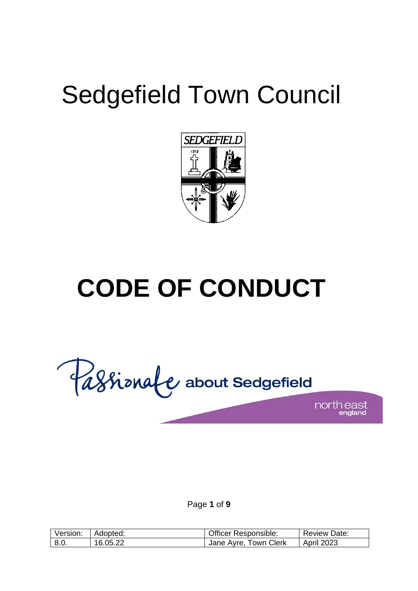# Sedgefield Town Council



# **CODE OF CONDUCT**

Cassionale about Sedgefield north east

Page **1** of **9**

| Version: | Adopted: | <b>Officer Responsible:</b> | <b>Review Date:</b> |
|----------|----------|-----------------------------|---------------------|
| 8.0.     | 16.05.22 | Jane Ayre, Town Clerk       | <b>April 2023</b>   |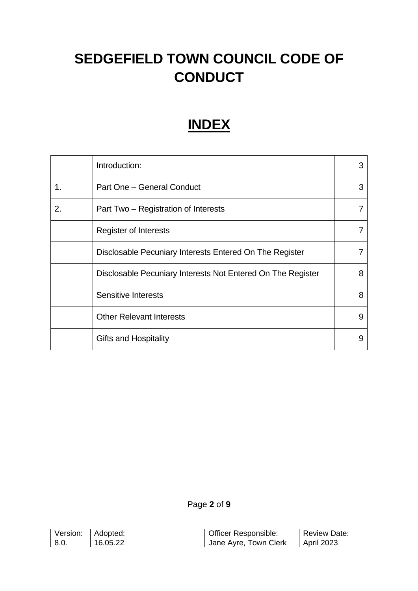# **SEDGEFIELD TOWN COUNCIL CODE OF CONDUCT**

# **INDEX**

|    | Introduction:                                               | 3 |
|----|-------------------------------------------------------------|---|
| 1. | Part One - General Conduct                                  | 3 |
| 2. | Part Two - Registration of Interests                        |   |
|    | Register of Interests                                       |   |
|    | Disclosable Pecuniary Interests Entered On The Register     |   |
|    | Disclosable Pecuniary Interests Not Entered On The Register | 8 |
|    | Sensitive Interests                                         | 8 |
|    | <b>Other Relevant Interests</b>                             | 9 |
|    | <b>Gifts and Hospitality</b>                                | 9 |

# Page **2** of **9**

| Version:         | Adopted: | <b>Officer Responsible:</b> | <b>Review Date:</b> |
|------------------|----------|-----------------------------|---------------------|
| $\overline{8.0}$ | 16.05.22 | Jane Ayre, Town Clerk       | April 2023          |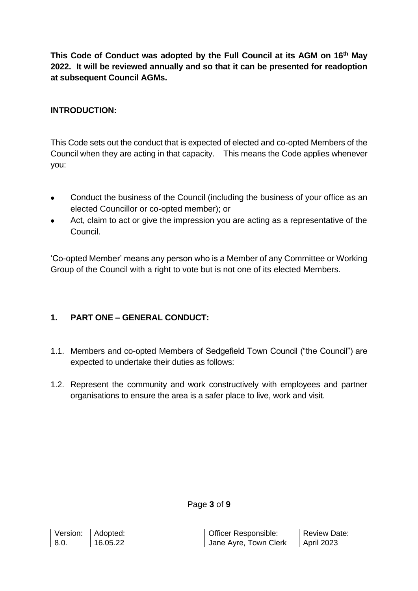**This Code of Conduct was adopted by the Full Council at its AGM on 16th May 2022. It will be reviewed annually and so that it can be presented for readoption at subsequent Council AGMs.** 

### **INTRODUCTION:**

This Code sets out the conduct that is expected of elected and co-opted Members of the Council when they are acting in that capacity. This means the Code applies whenever you:

- Conduct the business of the Council (including the business of your office as an elected Councillor or co-opted member); or
- Act, claim to act or give the impression you are acting as a representative of the Council.

'Co-opted Member' means any person who is a Member of any Committee or Working Group of the Council with a right to vote but is not one of its elected Members.

# **1. PART ONE – GENERAL CONDUCT:**

- 1.1. Members and co-opted Members of Sedgefield Town Council ("the Council") are expected to undertake their duties as follows:
- 1.2. Represent the community and work constructively with employees and partner organisations to ensure the area is a safer place to live, work and visit.

#### Page **3** of **9**

| Version: | Adopted: | <b>Officer Responsible:</b> | <b>Review Date:</b> |
|----------|----------|-----------------------------|---------------------|
| 8.0.     | 16.05.22 | Jane Ayre, Town Clerk       | <b>April 2023</b>   |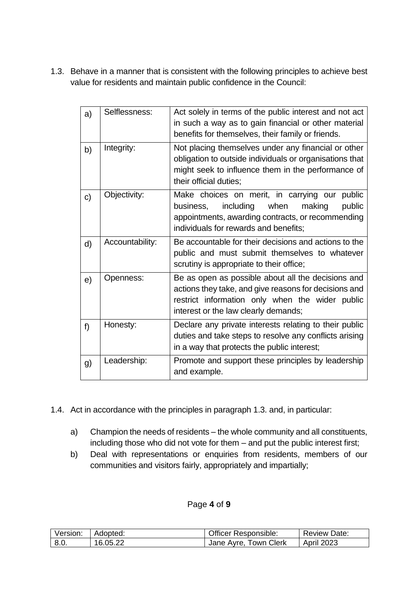1.3. Behave in a manner that is consistent with the following principles to achieve best value for residents and maintain public confidence in the Council:

| a) | Selflessness:   | Act solely in terms of the public interest and not act<br>in such a way as to gain financial or other material<br>benefits for themselves, their family or friends.                                    |
|----|-----------------|--------------------------------------------------------------------------------------------------------------------------------------------------------------------------------------------------------|
| b) | Integrity:      | Not placing themselves under any financial or other<br>obligation to outside individuals or organisations that<br>might seek to influence them in the performance of<br>their official duties;         |
| c) | Objectivity:    | Make choices on merit, in carrying our<br>public<br>including<br>when<br>making<br>public<br>business,<br>appointments, awarding contracts, or recommending<br>individuals for rewards and benefits;   |
| d) | Accountability: | Be accountable for their decisions and actions to the<br>public and must submit themselves to whatever<br>scrutiny is appropriate to their office;                                                     |
| e) | Openness:       | Be as open as possible about all the decisions and<br>actions they take, and give reasons for decisions and<br>restrict information only when the wider public<br>interest or the law clearly demands; |
| f  | Honesty:        | Declare any private interests relating to their public<br>duties and take steps to resolve any conflicts arising<br>in a way that protects the public interest;                                        |
| g) | Leadership:     | Promote and support these principles by leadership<br>and example.                                                                                                                                     |

- 1.4. Act in accordance with the principles in paragraph 1.3. and, in particular:
	- a) Champion the needs of residents the whole community and all constituents, including those who did not vote for them – and put the public interest first;
	- b) Deal with representations or enquiries from residents, members of our communities and visitors fairly, appropriately and impartially;

# Page **4** of **9**

| Version: | Adopted: | <b>Officer Responsible:</b> | <b>Review Date:</b> |
|----------|----------|-----------------------------|---------------------|
| 8.0.     | 16.05.22 | Jane Ayre, Town Clerk       | April 2023          |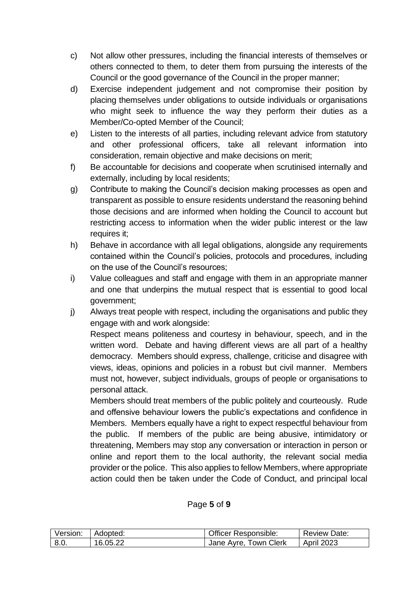- c) Not allow other pressures, including the financial interests of themselves or others connected to them, to deter them from pursuing the interests of the Council or the good governance of the Council in the proper manner;
- d) Exercise independent judgement and not compromise their position by placing themselves under obligations to outside individuals or organisations who might seek to influence the way they perform their duties as a Member/Co-opted Member of the Council;
- e) Listen to the interests of all parties, including relevant advice from statutory and other professional officers, take all relevant information into consideration, remain objective and make decisions on merit;
- f) Be accountable for decisions and cooperate when scrutinised internally and externally, including by local residents;
- g) Contribute to making the Council's decision making processes as open and transparent as possible to ensure residents understand the reasoning behind those decisions and are informed when holding the Council to account but restricting access to information when the wider public interest or the law requires it;
- h) Behave in accordance with all legal obligations, alongside any requirements contained within the Council's policies, protocols and procedures, including on the use of the Council's resources;
- i) Value colleagues and staff and engage with them in an appropriate manner and one that underpins the mutual respect that is essential to good local government;
- j) Always treat people with respect, including the organisations and public they engage with and work alongside: Respect means politeness and courtesy in behaviour, speech, and in the written word. Debate and having different views are all part of a healthy democracy. Members should express, challenge, criticise and disagree with views, ideas, opinions and policies in a robust but civil manner. Members must not, however, subject individuals, groups of people or organisations to

personal attack.

Members should treat members of the public politely and courteously. Rude and offensive behaviour lowers the public's expectations and confidence in Members. Members equally have a right to expect respectful behaviour from the public. If members of the public are being abusive, intimidatory or threatening, Members may stop any conversation or interaction in person or online and report them to the local authority, the relevant social media provider or the police. This also applies to fellow Members, where appropriate action could then be taken under the Code of Conduct, and principal local

| l Version: | Adopted: | <b>Officer Responsible:</b> | <b>Review Date:</b> |
|------------|----------|-----------------------------|---------------------|
| 8.0.       | 16.05.22 | Jane Ayre, Town Clerk       | <b>April 2023</b>   |

# Page **5** of **9**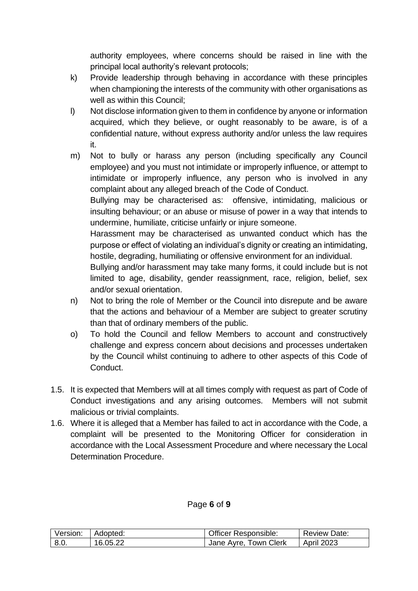authority employees, where concerns should be raised in line with the principal local authority's relevant protocols;

- k) Provide leadership through behaving in accordance with these principles when championing the interests of the community with other organisations as well as within this Council;
- l) Not disclose information given to them in confidence by anyone or information acquired, which they believe, or ought reasonably to be aware, is of a confidential nature, without express authority and/or unless the law requires it.
- m) Not to bully or harass any person (including specifically any Council employee) and you must not intimidate or improperly influence, or attempt to intimidate or improperly influence, any person who is involved in any complaint about any alleged breach of the Code of Conduct.

Bullying may be characterised as: offensive, intimidating, malicious or insulting behaviour; or an abuse or misuse of power in a way that intends to undermine, humiliate, criticise unfairly or injure someone.

Harassment may be characterised as unwanted conduct which has the purpose or effect of violating an individual's dignity or creating an intimidating, hostile, degrading, humiliating or offensive environment for an individual.

Bullying and/or harassment may take many forms, it could include but is not limited to age, disability, gender reassignment, race, religion, belief, sex and/or sexual orientation.

- n) Not to bring the role of Member or the Council into disrepute and be aware that the actions and behaviour of a Member are subject to greater scrutiny than that of ordinary members of the public.
- o) To hold the Council and fellow Members to account and constructively challenge and express concern about decisions and processes undertaken by the Council whilst continuing to adhere to other aspects of this Code of Conduct.
- 1.5. It is expected that Members will at all times comply with request as part of Code of Conduct investigations and any arising outcomes. Members will not submit malicious or trivial complaints.
- 1.6. Where it is alleged that a Member has failed to act in accordance with the Code, a complaint will be presented to the Monitoring Officer for consideration in accordance with the Local Assessment Procedure and where necessary the Local Determination Procedure.

| Version: | Adopted: | <b>Officer Responsible:</b> | <b>Review Date:</b> |
|----------|----------|-----------------------------|---------------------|
| - 8.0.   | 16.05.22 | Jane Ayre, Town Clerk       | <b>April 2023</b>   |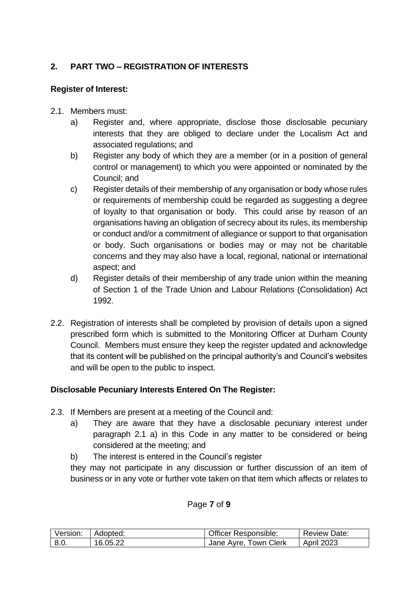# **2. PART TWO – REGISTRATION OF INTERESTS**

# **Register of Interest:**

- 2.1. Members must:
	- a) Register and, where appropriate, disclose those disclosable pecuniary interests that they are obliged to declare under the Localism Act and associated regulations; and
	- b) Register any body of which they are a member (or in a position of general control or management) to which you were appointed or nominated by the Council; and
	- c) Register details of their membership of any organisation or body whose rules or requirements of membership could be regarded as suggesting a degree of loyalty to that organisation or body. This could arise by reason of an organisations having an obligation of secrecy about its rules, its membership or conduct and/or a commitment of allegiance or support to that organisation or body. Such organisations or bodies may or may not be charitable concerns and they may also have a local, regional, national or international aspect; and
	- d) Register details of their membership of any trade union within the meaning of Section 1 of the Trade Union and Labour Relations (Consolidation) Act 1992.
- 2.2. Registration of interests shall be completed by provision of details upon a signed prescribed form which is submitted to the Monitoring Officer at Durham County Council. Members must ensure they keep the register updated and acknowledge that its content will be published on the principal authority's and Council's websites and will be open to the public to inspect.

# **Disclosable Pecuniary Interests Entered On The Register:**

- 2.3. If Members are present at a meeting of the Council and:
	- a) They are aware that they have a disclosable pecuniary interest under paragraph 2.1 a) in this Code in any matter to be considered or being considered at the meeting; and
	- b) The interest is entered in the Council's register

they may not participate in any discussion or further discussion of an item of business or in any vote or further vote taken on that item which affects or relates to

#### Page **7** of **9**

| Version: | l Adopted: | <b>Officer Responsible:</b> | <b>Review Date:</b> |
|----------|------------|-----------------------------|---------------------|
| 8.0.     | 16.05.22   | Jane Ayre, Town Clerk       | <b>April 2023</b>   |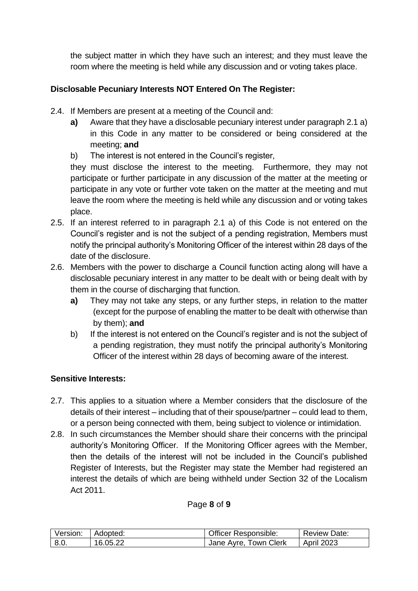the subject matter in which they have such an interest; and they must leave the room where the meeting is held while any discussion and or voting takes place.

# **Disclosable Pecuniary Interests NOT Entered On The Register:**

- 2.4. If Members are present at a meeting of the Council and:
	- **a)** Aware that they have a disclosable pecuniary interest under paragraph 2.1 a) in this Code in any matter to be considered or being considered at the meeting; **and**
	- b) The interest is not entered in the Council's register,

they must disclose the interest to the meeting. Furthermore, they may not participate or further participate in any discussion of the matter at the meeting or participate in any vote or further vote taken on the matter at the meeting and mut leave the room where the meeting is held while any discussion and or voting takes place.

- 2.5. If an interest referred to in paragraph 2.1 a) of this Code is not entered on the Council's register and is not the subject of a pending registration, Members must notify the principal authority's Monitoring Officer of the interest within 28 days of the date of the disclosure.
- 2.6. Members with the power to discharge a Council function acting along will have a disclosable pecuniary interest in any matter to be dealt with or being dealt with by them in the course of discharging that function.
	- **a)** They may not take any steps, or any further steps, in relation to the matter (except for the purpose of enabling the matter to be dealt with otherwise than by them); **and**
	- b) If the interest is not entered on the Council's register and is not the subject of a pending registration, they must notify the principal authority's Monitoring Officer of the interest within 28 days of becoming aware of the interest.

# **Sensitive Interests:**

- 2.7. This applies to a situation where a Member considers that the disclosure of the details of their interest – including that of their spouse/partner – could lead to them, or a person being connected with them, being subject to violence or intimidation.
- 2.8. In such circumstances the Member should share their concerns with the principal authority's Monitoring Officer. If the Monitoring Officer agrees with the Member, then the details of the interest will not be included in the Council's published Register of Interests, but the Register may state the Member had registered an interest the details of which are being withheld under Section 32 of the Localism Act 2011.

#### Page **8** of **9**

| Version: | Adopted: | <b>Officer Responsible:</b> | <b>Review Date:</b> |
|----------|----------|-----------------------------|---------------------|
| 8.0.     | 16.05.22 | Jane Ayre, Town Clerk       | <b>April 2023</b>   |